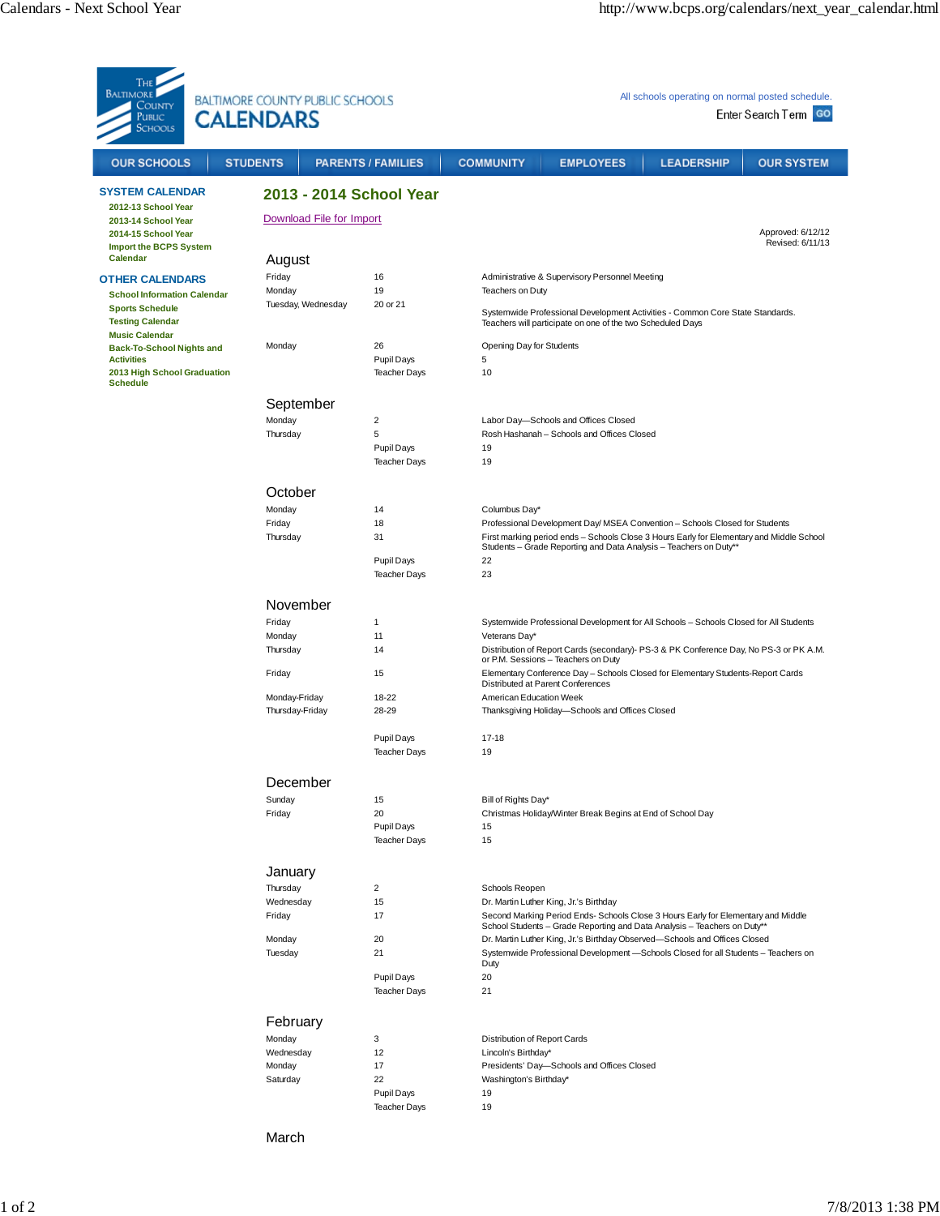| THE<br><b>BALTIMORE</b><br><b>BALTIMORE COUNTY PUBLIC SCHOOLS</b><br>COUNTY<br><b>CALENDARS</b><br>Public<br>Schools                       |                                  |                                   | All schools operating on normal posted schedule.<br>Enter Search Term GO                                                                                                                                         |                                                                                       |                   |                   |  |
|--------------------------------------------------------------------------------------------------------------------------------------------|----------------------------------|-----------------------------------|------------------------------------------------------------------------------------------------------------------------------------------------------------------------------------------------------------------|---------------------------------------------------------------------------------------|-------------------|-------------------|--|
| <b>OUR SCHOOLS</b>                                                                                                                         | <b>STUDENTS</b>                  | <b>PARENTS / FAMILIES</b>         | <b>COMMUNITY</b>                                                                                                                                                                                                 | <b>EMPLOYEES</b>                                                                      | <b>LEADERSHIP</b> | <b>OUR SYSTEM</b> |  |
| <b>SYSTEM CALENDAR</b>                                                                                                                     | 2013 - 2014 School Year          |                                   |                                                                                                                                                                                                                  |                                                                                       |                   |                   |  |
| 2012-13 School Year<br>2013-14 School Year                                                                                                 |                                  | Download File for Import          |                                                                                                                                                                                                                  |                                                                                       |                   |                   |  |
| 2014-15 School Year<br><b>Import the BCPS System</b><br>Calendar                                                                           |                                  |                                   | Approved: 6/12/12<br>Revised: 6/11/13                                                                                                                                                                            |                                                                                       |                   |                   |  |
| <b>OTHER CALENDARS</b><br><b>School Information Calendar</b><br><b>Sports Schedule</b><br><b>Testing Calendar</b><br><b>Music Calendar</b> | August<br>Friday                 | 16                                |                                                                                                                                                                                                                  | Administrative & Supervisory Personnel Meeting                                        |                   |                   |  |
|                                                                                                                                            | Monday                           | 19                                | Teachers on Duty                                                                                                                                                                                                 |                                                                                       |                   |                   |  |
|                                                                                                                                            | Tuesday, Wednesday               | 20 or 21                          | Systemwide Professional Development Activities - Common Core State Standards.<br>Teachers will participate on one of the two Scheduled Days                                                                      |                                                                                       |                   |                   |  |
| <b>Back-To-School Nights and</b>                                                                                                           | Monday                           | 26                                | Opening Day for Students                                                                                                                                                                                         |                                                                                       |                   |                   |  |
| <b>Activities</b><br>2013 High School Graduation<br><b>Schedule</b>                                                                        |                                  | Pupil Days<br><b>Teacher Days</b> | 5<br>10                                                                                                                                                                                                          |                                                                                       |                   |                   |  |
|                                                                                                                                            | September                        |                                   |                                                                                                                                                                                                                  |                                                                                       |                   |                   |  |
|                                                                                                                                            | Monday                           | 2                                 | Labor Day-Schools and Offices Closed                                                                                                                                                                             |                                                                                       |                   |                   |  |
|                                                                                                                                            | Thursday                         | 5                                 | Rosh Hashanah - Schools and Offices Closed<br>19<br>19                                                                                                                                                           |                                                                                       |                   |                   |  |
|                                                                                                                                            |                                  | Pupil Days<br><b>Teacher Days</b> |                                                                                                                                                                                                                  |                                                                                       |                   |                   |  |
|                                                                                                                                            | October                          |                                   |                                                                                                                                                                                                                  |                                                                                       |                   |                   |  |
|                                                                                                                                            | Monday                           | 14                                | Columbus Day*                                                                                                                                                                                                    |                                                                                       |                   |                   |  |
|                                                                                                                                            | Friday<br>Thursday               | 18<br>31                          | Professional Development Day/ MSEA Convention - Schools Closed for Students                                                                                                                                      |                                                                                       |                   |                   |  |
|                                                                                                                                            |                                  |                                   | First marking period ends - Schools Close 3 Hours Early for Elementary and Middle School<br>Students - Grade Reporting and Data Analysis - Teachers on Duty**                                                    |                                                                                       |                   |                   |  |
|                                                                                                                                            |                                  | Pupil Days<br><b>Teacher Days</b> | 22<br>23                                                                                                                                                                                                         |                                                                                       |                   |                   |  |
|                                                                                                                                            | November                         |                                   |                                                                                                                                                                                                                  |                                                                                       |                   |                   |  |
|                                                                                                                                            | Friday                           | 1                                 |                                                                                                                                                                                                                  | Systemwide Professional Development for All Schools - Schools Closed for All Students |                   |                   |  |
|                                                                                                                                            | Monday                           | 11                                | Veterans Day*                                                                                                                                                                                                    |                                                                                       |                   |                   |  |
|                                                                                                                                            | Thursday<br>Friday               | 14<br>15                          | Distribution of Report Cards (secondary)- PS-3 & PK Conference Day, No PS-3 or PK A.M.<br>or P.M. Sessions - Teachers on Duty<br>Elementary Conference Day - Schools Closed for Elementary Students-Report Cards |                                                                                       |                   |                   |  |
|                                                                                                                                            |                                  |                                   | Distributed at Parent Conferences                                                                                                                                                                                |                                                                                       |                   |                   |  |
|                                                                                                                                            | Monday-Friday<br>Thursday-Friday | 18-22<br>28-29                    | American Education Week<br>Thanksgiving Holiday-Schools and Offices Closed<br>$17 - 18$<br>19                                                                                                                    |                                                                                       |                   |                   |  |
|                                                                                                                                            |                                  | Pupil Days<br><b>Teacher Days</b> |                                                                                                                                                                                                                  |                                                                                       |                   |                   |  |
|                                                                                                                                            | December                         |                                   |                                                                                                                                                                                                                  |                                                                                       |                   |                   |  |
|                                                                                                                                            | Sunday<br>Friday                 | 15<br>20                          | Bill of Rights Day*                                                                                                                                                                                              |                                                                                       |                   |                   |  |
|                                                                                                                                            |                                  | Pupil Days<br><b>Teacher Days</b> | Christmas Holiday/Winter Break Begins at End of School Day<br>15<br>15                                                                                                                                           |                                                                                       |                   |                   |  |
|                                                                                                                                            | January                          |                                   |                                                                                                                                                                                                                  |                                                                                       |                   |                   |  |
|                                                                                                                                            | Thursday<br>Wednesday            | $\overline{2}$<br>15              | Schools Reopen                                                                                                                                                                                                   | Dr. Martin Luther King, Jr.'s Birthday                                                |                   |                   |  |
|                                                                                                                                            | Friday                           | 17                                | Second Marking Period Ends- Schools Close 3 Hours Early for Elementary and Middle<br>School Students - Grade Reporting and Data Analysis - Teachers on Duty**                                                    |                                                                                       |                   |                   |  |
|                                                                                                                                            | Monday                           | 20<br>21                          | Dr. Martin Luther King, Jr.'s Birthday Observed-Schools and Offices Closed<br>Systemwide Professional Development -Schools Closed for all Students - Teachers on                                                 |                                                                                       |                   |                   |  |
|                                                                                                                                            | Tuesday                          |                                   | Duty                                                                                                                                                                                                             |                                                                                       |                   |                   |  |
|                                                                                                                                            |                                  | Pupil Days                        | 20<br>21                                                                                                                                                                                                         |                                                                                       |                   |                   |  |
|                                                                                                                                            | February                         | <b>Teacher Days</b>               |                                                                                                                                                                                                                  |                                                                                       |                   |                   |  |
|                                                                                                                                            | Monday                           | 3                                 | Distribution of Report Cards                                                                                                                                                                                     |                                                                                       |                   |                   |  |
|                                                                                                                                            | Wednesday                        | 12                                | Lincoln's Birthday*                                                                                                                                                                                              |                                                                                       |                   |                   |  |
|                                                                                                                                            | Monday                           | 17                                | Presidents' Day-Schools and Offices Closed                                                                                                                                                                       |                                                                                       |                   |                   |  |
|                                                                                                                                            | Saturday                         | 22<br>Pupil Days                  | Washington's Birthday*<br>19                                                                                                                                                                                     |                                                                                       |                   |                   |  |
|                                                                                                                                            |                                  | <b>Teacher Days</b>               | 19                                                                                                                                                                                                               |                                                                                       |                   |                   |  |
|                                                                                                                                            | March                            |                                   |                                                                                                                                                                                                                  |                                                                                       |                   |                   |  |